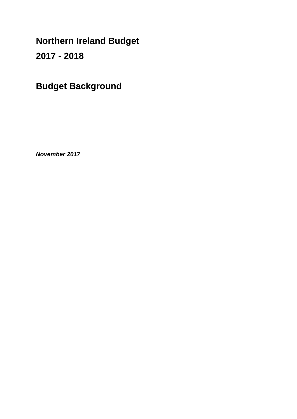**Northern Ireland Budget** 

**2017 - 2018** 

**Budget Background**

*November 2017*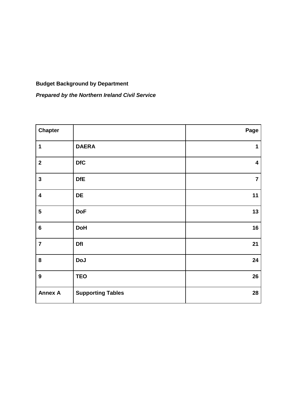# **Budget Background by Department**

*Prepared by the Northern Ireland Civil Service*

| <b>Chapter</b>          |                          | Page           |
|-------------------------|--------------------------|----------------|
| 1                       | <b>DAERA</b>             | 1              |
| $\mathbf{2}$            | <b>DfC</b>               | 4              |
| $\mathbf{3}$            | <b>DfE</b>               | $\overline{7}$ |
| $\overline{\mathbf{4}}$ | DE                       | 11             |
| $\overline{\mathbf{5}}$ | <b>DoF</b>               | 13             |
| $\bf 6$                 | <b>DoH</b>               | 16             |
| $\overline{\mathbf{7}}$ | <b>Dfl</b>               | 21             |
| 8                       | <b>DoJ</b>               | 24             |
| $\boldsymbol{9}$        | <b>TEO</b>               | 26             |
| <b>Annex A</b>          | <b>Supporting Tables</b> | 28             |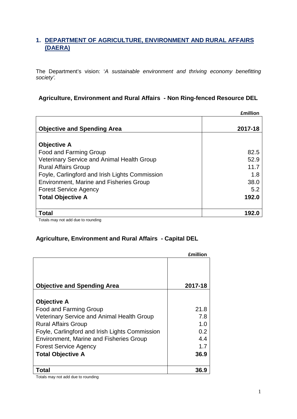# **1. DEPARTMENT OF AGRICULTURE, ENVIRONMENT AND RURAL AFFAIRS (DAERA)**

The Department's vision: '*A sustainable environment and thriving economy benefitting society'.*

### **Agriculture, Environment and Rural Affairs - Non Ring-fenced Resource DEL**

|                                                   | <b>£million</b> |
|---------------------------------------------------|-----------------|
|                                                   |                 |
| <b>Objective and Spending Area</b>                | 2017-18         |
|                                                   |                 |
| <b>Objective A</b>                                |                 |
| Food and Farming Group                            | 82.5            |
| <b>Veterinary Service and Animal Health Group</b> | 52.9            |
| <b>Rural Affairs Group</b>                        | 11.7            |
| Foyle, Carlingford and Irish Lights Commission    | 1.8             |
| <b>Environment, Marine and Fisheries Group</b>    | 38.0            |
| <b>Forest Service Agency</b>                      | 5.2             |
| <b>Total Objective A</b>                          | 192.0           |
|                                                   |                 |
| <b>Total</b>                                      | 192.0           |

Totals may not add due to rounding

### **Agriculture, Environment and Rural Affairs - Capital DEL**

|                                                   | £million |
|---------------------------------------------------|----------|
| <b>Objective and Spending Area</b>                | 2017-18  |
| <b>Objective A</b>                                |          |
| <b>Food and Farming Group</b>                     | 21.8     |
| <b>Veterinary Service and Animal Health Group</b> | 7.8      |
| <b>Rural Affairs Group</b>                        | 1.0      |
| Foyle, Carlingford and Irish Lights Commission    | 0.2      |
| <b>Environment, Marine and Fisheries Group</b>    | 4.4      |
| <b>Forest Service Agency</b>                      | 1.7      |
| <b>Total Objective A</b>                          | 36.9     |
| Γotal                                             | 36.9     |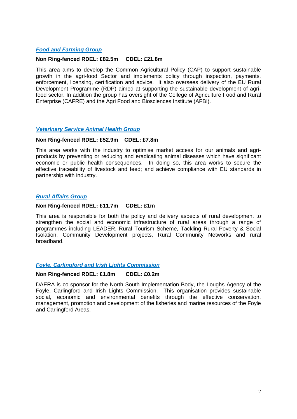### *Food and Farming Group*

### **Non Ring-fenced RDEL: £82.5m CDEL: £21.8m**

This area aims to develop the Common Agricultural Policy (CAP) to support sustainable growth in the agri-food Sector and implements policy through inspection, payments, enforcement, licensing, certification and advice. It also oversees delivery of the EU Rural Development Programme (RDP) aimed at supporting the sustainable development of agrifood sector. In addition the group has oversight of the College of Agriculture Food and Rural Enterprise (CAFRE) and the Agri Food and Biosciences Institute (AFBI).

### *Veterinary Service Animal Health Group*

### **Non Ring-fenced RDEL: £52.9m CDEL: £7.8m**

This area works with the industry to optimise market access for our animals and agriproducts by preventing or reducing and eradicating animal diseases which have significant economic or public health consequences. In doing so, this area works to secure the effective traceability of livestock and feed; and achieve compliance with EU standards in partnership with industry.

### *Rural Affairs Group*

### **Non Ring-fenced RDEL: £11.7m CDEL: £1m**

This area is responsible for both the policy and delivery aspects of rural development to strengthen the social and economic infrastructure of rural areas through a range of programmes including LEADER, Rural Tourism Scheme, Tackling Rural Poverty & Social Isolation, Community Development projects, Rural Community Networks and rural broadband.

### *Foyle, Carlingford and Irish Lights Commission*

### **Non Ring-fenced RDEL: £1.8m CDEL: £0.2m**

DAERA is co-sponsor for the North South Implementation Body, the Loughs Agency of the Foyle, Carlingford and Irish Lights Commission. This organisation provides sustainable social, economic and environmental benefits through the effective conservation, management, promotion and development of the fisheries and marine resources of the Foyle and Carlingford Areas.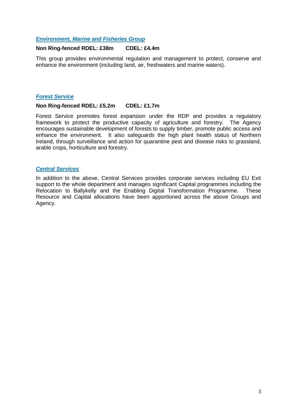### *Environment, Marine and Fisheries Group*

### **Non Ring-fenced RDEL: £38m CDEL: £4.4m**

This group provides environmental regulation and management to protect, conserve and enhance the environment (including land, air, freshwaters and marine waters).

### *Forest Service*

#### **Non Ring-fenced RDEL: £5.2m CDEL: £1.7m**

Forest Service promotes forest expansion under the RDP and provides a regulatory framework to protect the productive capacity of agriculture and forestry. The Agency encourages sustainable development of forests to supply timber, promote public access and enhance the environment. It also safeguards the high plant health status of Northern Ireland, through surveillance and action for quarantine pest and disease risks to grassland, arable crops, horticulture and forestry.

### *Central Services*

In addition to the above, Central Services provides corporate services including EU Exit support to the whole department and manages significant Capital programmes including the Relocation to Ballykelly and the Enabling Digital Transformation Programme. These Resource and Capital allocations have been apportioned across the above Groups and Agency.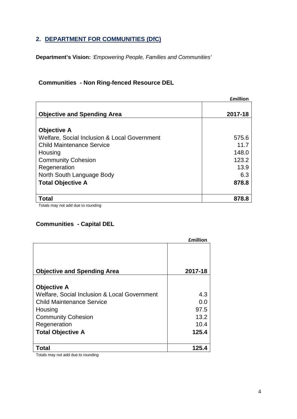# **2. DEPARTMENT FOR COMMUNITIES (DfC)**

**Department's Vision:** *'Empowering People, Families and Communities'*

# **Communities - Non Ring-fenced Resource DEL**

|                                              | <b>£million</b> |
|----------------------------------------------|-----------------|
| <b>Objective and Spending Area</b>           | 2017-18         |
| <b>Objective A</b>                           |                 |
| Welfare, Social Inclusion & Local Government | 575.6           |
| <b>Child Maintenance Service</b>             | 11.7            |
| Housing                                      | 148.0           |
| <b>Community Cohesion</b>                    | 123.2           |
| Regeneration                                 | 13.9            |
| North South Language Body                    | 6.3             |
| <b>Total Objective A</b>                     | 878.8           |
| <b>Total</b>                                 | 878.8           |
| Totale mou not add due to rounding           |                 |

Totals may not add due to rounding

### **Communities - Capital DEL**

|                                              | <b>£million</b> |
|----------------------------------------------|-----------------|
| <b>Objective and Spending Area</b>           | 2017-18         |
| <b>Objective A</b>                           |                 |
| Welfare, Social Inclusion & Local Government | 4.3             |
| <b>Child Maintenance Service</b>             | 0.0             |
| Housing                                      | 97.5            |
| <b>Community Cohesion</b>                    | 13.2            |
| Regeneration                                 | 10.4            |
| <b>Total Objective A</b>                     | 125.4           |
| Total                                        | 125.4           |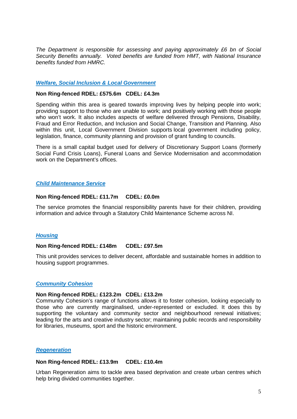*The Department is responsible for assessing and paying approximately £6 bn of Social Security Benefits annually. Voted benefits are funded from HMT, with National Insurance benefits funded from HMRC.* 

### *Welfare, Social Inclusion & Local Government*

#### **Non Ring-fenced RDEL: £575.6m CDEL: £4.3m**

Spending within this area is geared towards improving lives by helping people into work; providing support to those who are unable to work; and positively working with those people who won't work. It also includes aspects of welfare delivered through Pensions, Disability, Fraud and Error Reduction, and Inclusion and Social Change, Transition and Planning. Also within this unit. Local Government Division supports local government including policy, legislation, finance, community planning and provision of grant funding to councils.

There is a small capital budget used for delivery of Discretionary Support Loans (formerly Social Fund Crisis Loans), Funeral Loans and Service Modernisation and accommodation work on the Department's offices.

### *Child Maintenance Service*

### **Non Ring-fenced RDEL: £11.7m CDEL: £0.0m**

[The s](http://nics.intranet.nigov.net/communities/work-inclusion/child-maintenance)ervice promotes the financial responsibility parents have for their children, providing information and advice through a Statutory Child Maintenance Scheme across NI.

### *Housing*

#### **Non Ring-fenced RDEL: £148m CDEL: £97.5m**

This unit provides services to deliver decent, affordable and sustainable homes in addition to housing support programmes.

#### *Community Cohesion*

#### **Non Ring-fenced RDEL: £123.2m CDEL: £13.2m**

Community Cohesion's range of functions allows it to foster cohesion, looking especially to those who are currently marginalised, under-represented or excluded. It does this by supporting the voluntary and community sector and neighbourhood renewal initiatives; leading for the arts and creative industry sector; maintaining public records and responsibility for libraries, museums, sport and the historic environment.

#### *Regeneration*

#### **Non Ring-fenced RDEL: £13.9m CDEL: £10.4m**

Urban Regeneration aims to tackle area based deprivation and create urban centres which help bring divided communities together.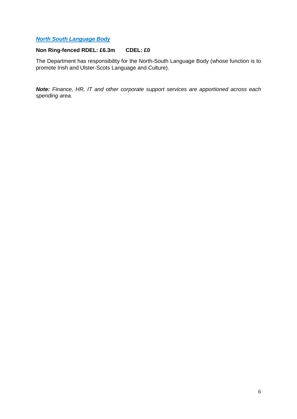### *North South Language Body*

### **Non Ring-fenced RDEL: £6.3m CDEL: £0**

The Department has responsibility for the North-South Language Body (whose function is to promote Irish and Ulster-Scots Language and Culture).

*Note: Finance, HR, IT and other corporate support services are apportioned across each spending area.*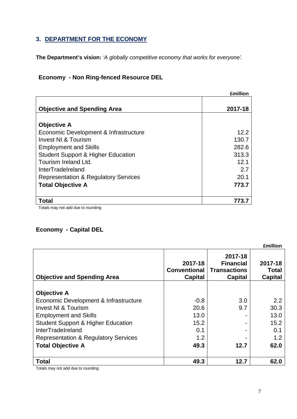# **3. DEPARTMENT FOR THE ECONOMY**

**The Department's vision:** *'A globally competitive economy that works for everyone'.*

# **Economy - Non Ring-fenced Resource DEL**

|                                                 | <b>£million</b> |
|-------------------------------------------------|-----------------|
| <b>Objective and Spending Area</b>              | 2017-18         |
|                                                 |                 |
| <b>Objective A</b>                              |                 |
| Economic Development & Infrastructure           | 12.2            |
| Invest NI & Tourism                             | 130.7           |
| <b>Employment and Skills</b>                    | 282.6           |
| <b>Student Support &amp; Higher Education</b>   | 313.3           |
| Tourism Ireland Ltd.                            | 12.1            |
| InterTradeIreland                               | 2.7             |
| <b>Representation &amp; Regulatory Services</b> | 20.1            |
| <b>Total Objective A</b>                        | 773.7           |
|                                                 |                 |
| <b>Total</b>                                    | 773.7           |
| $T$ otolo mou not odd duo to rounding           |                 |

Totals may not add due to rounding

# **Economy - Capital DEL**

|                                                 |                                           |                                                               | <b>£million</b>                           |
|-------------------------------------------------|-------------------------------------------|---------------------------------------------------------------|-------------------------------------------|
| <b>Objective and Spending Area</b>              | 2017-18<br><b>Conventional</b><br>Capital | 2017-18<br><b>Financial</b><br><b>Transactions</b><br>Capital | 2017-18<br><b>Total</b><br><b>Capital</b> |
|                                                 |                                           |                                                               |                                           |
| <b>Objective A</b>                              |                                           |                                                               |                                           |
| Economic Development & Infrastructure           | $-0.8$                                    | 3.0                                                           | 2.2                                       |
| <b>Invest NI &amp; Tourism</b>                  | 20.6                                      | 9.7                                                           | 30.3                                      |
| <b>Employment and Skills</b>                    | 13.0                                      |                                                               | 13.0                                      |
| <b>Student Support &amp; Higher Education</b>   | 15.2                                      |                                                               | 15.2                                      |
| <b>InterTradeIreland</b>                        | 0.1                                       |                                                               | 0.1                                       |
| <b>Representation &amp; Regulatory Services</b> | 1.2                                       |                                                               | 1.2                                       |
| <b>Total Objective A</b>                        | 49.3                                      | 12.7                                                          | 62.0                                      |
| Total                                           | 49.3                                      | 12.7                                                          | 62.0                                      |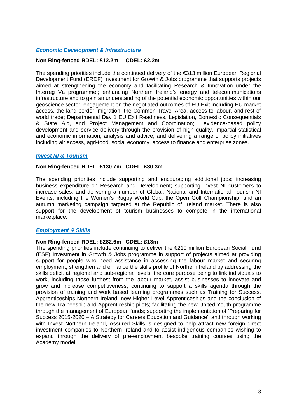### *Economic Development & Infrastructure*

### **Non Ring-fenced RDEL: £12.2m CDEL: £2.2m**

The spending priorities include the continued delivery of the €313 million European Regional Development Fund (ERDF) Investment for Growth & Jobs programme that supports projects aimed at strengthening the economy and facilitating Research & Innovation under the Interreg Va programme;; enhancing Northern Ireland's energy and telecommunications infrastructure and to gain an understanding of the potential economic opportunities within our geoscience sector; engagement on the negotiated outcomes of EU Exit including EU market access, the land border, migration, the Common Travel Area, access to labour, and rest of world trade; Departmental Day 1 EU Exit Readiness, Legislation, Domestic Consequentials & State Aid, and Project Management and Coordination; evidence-based policy development and service delivery through the provision of high quality, impartial statistical and economic information, analysis and advice; and delivering a range of policy initiatives including air access, agri-food, social economy, access to finance and enterprise zones.

### *Invest NI & Tourism*

### **Non Ring-fenced RDEL: £130.7m CDEL: £30.3m**

The spending priorities include supporting and encouraging additional jobs; increasing business expenditure on Research and Development; supporting Invest NI customers to increase sales; and delivering a number of Global, National and International Tourism NI Events, including the Women's Rugby World Cup, the Open Golf Championship, and an autumn marketing campaign targeted at the Republic of Ireland market. There is also support for the development of tourism businesses to compete in the international marketplace.

### *Employment & Skills*

### **Non Ring-fenced RDEL: £282.6m CDEL: £13m**

The spending priorities include continuing to deliver the €210 million European Social Fund (ESF) Investment in Growth & Jobs programme in support of projects aimed at providing support for people who need assistance in accessing the labour market and securing employment; strengthen and enhance the skills profile of Northern Ireland by addressing the skills deficit at regional and sub-regional levels, the core purpose being to link individuals to work, including those furthest from the labour market, assist businesses to innovate and grow and increase competitiveness; continuing to support a skills agenda through the provision of training and work based learning programmes such as Training for Success, Apprenticeships Northern Ireland, new Higher Level Apprenticeships and the conclusion of the new Traineeship and Apprenticeship pilots; facilitating the new United Youth programme through the management of European funds; supporting the implementation of 'Preparing for Success 2015-2020 – A Strategy for Careers Education and Guidance'; and through working with Invest Northern Ireland, Assured Skills is designed to help attract new foreign direct investment companies to Northern Ireland and to assist indigenous companies wishing to expand through the delivery of pre-employment bespoke training courses using the Academy model.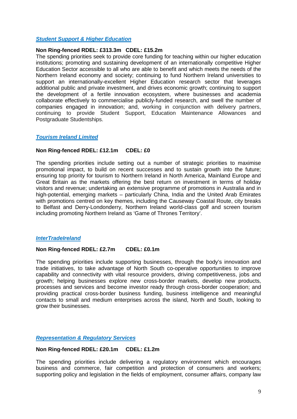### *Student Support & Higher Education*

### **Non Ring-fenced RDEL: £313.3m CDEL: £15.2m**

The spending priorities seek to provide core funding for teaching within our higher education institutions; promoting and sustaining development of an internationally competitive Higher Education Sector accessible to all who are able to benefit and which meets the needs of the Northern Ireland economy and society; continuing to fund Northern Ireland universities to support an internationally-excellent Higher Education research sector that leverages additional public and private investment, and drives economic growth; continuing to support the development of a fertile innovation ecosystem, where businesses and academia collaborate effectively to commercialise publicly-funded research, and swell the number of companies engaged in innovation; and, working in conjunction with delivery partners, continuing to provide Student Support, Education Maintenance Allowances and Postgraduate Studentships.

### *Tourism Ireland Limited*

### **Non Ring-fenced RDEL: £12.1m CDEL: £0**

The spending priorities include setting out a number of strategic priorities to maximise promotional impact, to build on recent successes and to sustain growth into the future; ensuring top priority for tourism to Northern Ireland in North America, Mainland Europe and Great Britain as the markets offering the best return on investment in terms of holiday visitors and revenue; undertaking an extensive programme of promotions in Australia and in high-potential, emerging markets – particularly China, India and the United Arab Emirates with promotions centred on key themes, including the Causeway Coastal Route, city breaks to Belfast and Derry-Londonderry, Northern Ireland world-class golf and screen tourism including promoting Northern Ireland as 'Game of Thrones Territory'.

### *InterTradeIreland*

### **Non Ring-fenced RDEL: £2.7m CDEL: £0.1m**

The spending priorities include supporting businesses, through the body's innovation and trade initiatives, to take advantage of North South co-operative opportunities to improve capability and connectivity with vital resource providers, driving competitiveness, jobs and growth; helping businesses explore new cross-border markets, develop new products, processes and services and become investor ready through cross-border cooperation; and providing practical cross-border business funding, business intelligence and meaningful contacts to small and medium enterprises across the island, North and South, looking to grow their businesses.

### *Representation & Regulatory Services*

### **Non Ring-fenced RDEL: £20.1m CDEL: £1.2m**

The spending priorities include delivering a regulatory environment which encourages business and commerce, fair competition and protection of consumers and workers; supporting policy and legislation in the fields of employment, consumer affairs, company law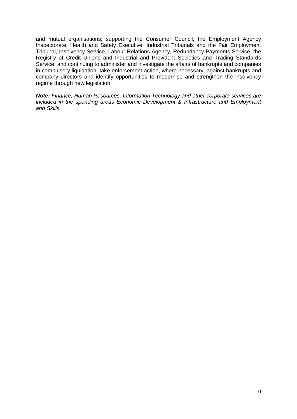and mutual organisations; supporting the Consumer Council, the Employment Agency Inspectorate, Health and Safety Executive, Industrial Tribunals and the Fair Employment Tribunal, Insolvency Service, Labour Relations Agency, Redundancy Payments Service, the Registry of Credit Unions and Industrial and Provident Societies and Trading Standards Service; and continuing to administer and investigate the affairs of bankrupts and companies in compulsory liquidation, take enforcement action, where necessary, against bankrupts and company directors and identify opportunities to modernise and strengthen the insolvency regime through new legislation.

*Note: Finance, Human Resources, Information Technology and other corporate services are included in the spending areas Economic Development & Infrastructure and Employment and Skills.*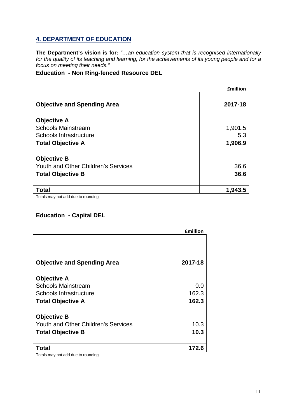# **4. DEPARTMENT OF EDUCATION**

**The Department's vision is for:** *"…an education system that is recognised internationally*  for the quality of its teaching and learning, for the achievements of its young people and for a *focus on meeting their needs."* 

### **Education - Non Ring-fenced Resource DEL**

|                                            | <b>£million</b> |
|--------------------------------------------|-----------------|
| <b>Objective and Spending Area</b>         | 2017-18         |
|                                            |                 |
| <b>Objective A</b>                         |                 |
| <b>Schools Mainstream</b>                  | 1,901.5         |
| Schools Infrastructure                     | 5.3             |
| <b>Total Objective A</b>                   | 1,906.9         |
| <b>Objective B</b>                         |                 |
| <b>Youth and Other Children's Services</b> | 36.6            |
| <b>Total Objective B</b>                   | 36.6            |
| <b>Total</b>                               | 1,943.5         |

Totals may not add due to rounding

### **Education - Capital DEL**

|                                            | <b>£million</b> |
|--------------------------------------------|-----------------|
| <b>Objective and Spending Area</b>         | 2017-18         |
| <b>Objective A</b>                         |                 |
| <b>Schools Mainstream</b>                  | 0.0             |
| Schools Infrastructure                     | 162.3           |
| <b>Total Objective A</b>                   | 162.3           |
| <b>Objective B</b>                         |                 |
| <b>Youth and Other Children's Services</b> | 10.3            |
| <b>Total Objective B</b>                   | 10.3            |
| Total                                      | 172.6           |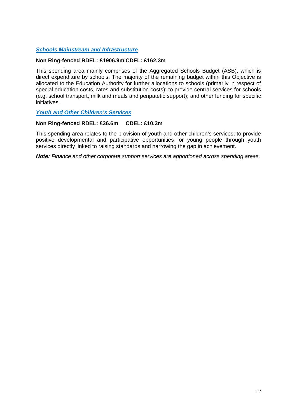### *Schools Mainstream and Infrastructure*

### **Non Ring-fenced RDEL: £1906.9m CDEL: £162.3m**

This spending area mainly comprises of the Aggregated Schools Budget (ASB), which is direct expenditure by schools. The majority of the remaining budget within this Objective is allocated to the Education Authority for further allocations to schools (primarily in respect of special education costs, rates and substitution costs); to provide central services for schools (e.g. school transport, milk and meals and peripatetic support); and other funding for specific initiatives.

### *Youth and Other Children's Services*

### **Non Ring-fenced RDEL: £36.6m CDEL: £10.3m**

This spending area relates to the provision of youth and other children's services, to provide positive developmental and participative opportunities for young people through youth services directly linked to raising standards and narrowing the gap in achievement.

*Note: Finance and other corporate support services are apportioned across spending areas.*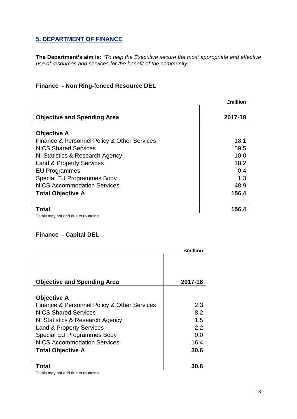# **5. DEPARTMENT OF FINANCE**

**The Department's aim is:** *"To help the Executive secure the most appropriate and effective use of resources and services for the benefit of the community"*

## **Finance - Non Ring-fenced Resource DEL**

|                                             | <b>£million</b> |
|---------------------------------------------|-----------------|
| <b>Objective and Spending Area</b>          | 2017-18         |
|                                             |                 |
| <b>Objective A</b>                          |                 |
| Finance & Personnel Policy & Other Services | 18.1            |
| <b>NICS Shared Services</b>                 | 59.5            |
| NI Statistics & Research Agency             | 10.0            |
| <b>Land &amp; Property Services</b>         | 18.2            |
| <b>EU Programmes</b>                        | 0.4             |
| Special EU Programmes Body                  | 1.3             |
| <b>NICS Accommodation Services</b>          | 48.9            |
| <b>Total Objective A</b>                    | 156.4           |
| <b>Total</b>                                | 156.4           |

Totals may not add due to rounding

### **Finance - Capital DEL**

|                                             | <b>£million</b> |
|---------------------------------------------|-----------------|
|                                             |                 |
|                                             |                 |
| <b>Objective and Spending Area</b>          | 2017-18         |
| <b>Objective A</b>                          |                 |
| Finance & Personnel Policy & Other Services | 2.3             |
| <b>NICS Shared Services</b>                 | 8.2             |
| NI Statistics & Research Agency             | 1.5             |
| <b>Land &amp; Property Services</b>         | 2.2             |
| Special EU Programmes Body                  | 0.0             |
| <b>NICS Accommodation Services</b>          | 16.4            |
| <b>Total Objective A</b>                    | 30.6            |
|                                             |                 |
| <sup>'</sup> otal                           | 30.6            |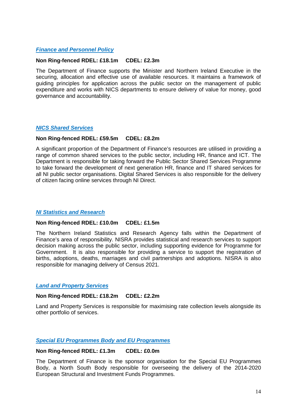### *Finance and Personnel Policy*

### **Non Ring-fenced RDEL: £18.1m CDEL: £2.3m**

The Department of Finance supports the Minister and Northern Ireland Executive in the securing, allocation and effective use of available resources. It maintains a framework of guiding principles for application across the public sector on the management of public expenditure and works with NICS departments to ensure delivery of value for money, good governance and accountability.

### *NICS Shared Services*

### **Non Ring-fenced RDEL: £59.5m CDEL: £8.2m**

A significant proportion of the Department of Finance's resources are utilised in providing a range of common shared services to the public sector, including HR, finance and ICT. The Department is responsible for taking forward the Public Sector Shared Services Programme to take forward the development of next generation HR, finance and IT shared services for all NI public sector organisations. Digital Shared Services is also responsible for the delivery of citizen facing online services through NI Direct.

### *NI Statistics and Research*

### **Non Ring-fenced RDEL: £10.0m CDEL: £1.5m**

The Northern Ireland Statistics and Research Agency falls within the Department of Finance's area of responsibility. NISRA provides statistical and research services to support decision making across the public sector, including supporting evidence for Programme for Government. It is also responsible for providing a service to support the registration of births, adoptions, deaths, marriages and civil partnerships and adoptions. NISRA is also responsible for managing delivery of Census 2021.

### *Land and Property Services*

### **Non Ring-fenced RDEL: £18.2m CDEL: £2.2m**

Land and Property Services is responsible for maximising rate collection levels alongside its other portfolio of services.

### *Special EU Programmes Body and EU Programmes*

### **Non Ring-fenced RDEL: £1.3m CDEL: £0.0m**

The Department of Finance is the sponsor organisation for the Special EU Programmes Body, a North South Body responsible for overseeing the delivery of the 2014-2020 European Structural and Investment Funds Programmes.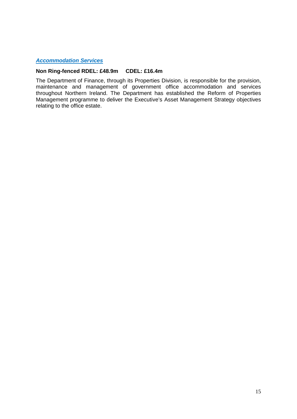### *Accommodation Services*

### **Non Ring-fenced RDEL: £48.9m CDEL: £16.4m**

The Department of Finance, through its Properties Division, is responsible for the provision, maintenance and management of government office accommodation and services throughout Northern Ireland. The Department has established the Reform of Properties Management programme to deliver the Executive's Asset Management Strategy objectives relating to the office estate.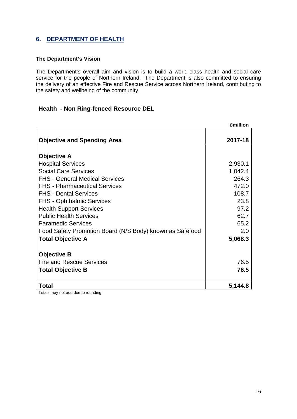### **6. DEPARTMENT OF HEALTH**

### **The Department's Vision**

The Department's overall aim and vision is to build a world-class health and social care service for the people of Northern Ireland. The Department is also committed to ensuring the delivery of an effective Fire and Rescue Service across Northern Ireland, contributing to the safety and wellbeing of the community.

### **Health - Non Ring-fenced Resource DEL**

|                                                          | <b>£million</b> |
|----------------------------------------------------------|-----------------|
| <b>Objective and Spending Area</b>                       | 2017-18         |
|                                                          |                 |
| <b>Objective A</b>                                       |                 |
| <b>Hospital Services</b>                                 | 2,930.1         |
| <b>Social Care Services</b>                              | 1,042.4         |
| <b>FHS - General Medical Services</b>                    | 264.3           |
| <b>FHS</b> - Pharmaceutical Services                     | 472.0           |
| <b>FHS - Dental Services</b>                             | 108.7           |
| <b>FHS - Ophthalmic Services</b>                         | 23.8            |
| <b>Health Support Services</b>                           | 97.2            |
| <b>Public Health Services</b>                            | 62.7            |
| <b>Paramedic Services</b>                                | 65.2            |
| Food Safety Promotion Board (N/S Body) known as Safefood | 2.0             |
| <b>Total Objective A</b>                                 | 5,068.3         |
| <b>Objective B</b>                                       |                 |
| <b>Fire and Rescue Services</b>                          | 76.5            |
| <b>Total Objective B</b>                                 | 76.5            |
| <b>Total</b>                                             | 5,144.8         |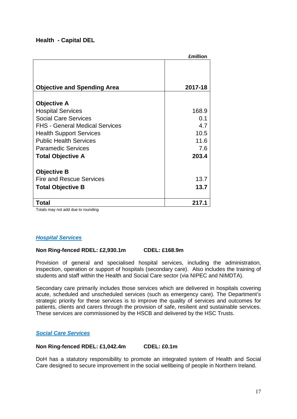### **Health - Capital DEL**

| <b>£million</b> |
|-----------------|
|                 |
|                 |
| 2017-18         |
| 168.9           |
| 0.1             |
| 4.7             |
| 10.5            |
| 11.6            |
| 7.6             |
| 203.4           |
|                 |
|                 |
| 13.7            |
| 13.7            |
| 217.1           |
|                 |

Totals may not add due to rounding

### *Hospital Services*

### **Non Ring-fenced RDEL: £2,930.1m CDEL: £168.9m**

Provision of general and specialised hospital services, including the administration, inspection, operation or support of hospitals (secondary care). Also includes the training of students and staff within the Health and Social Care sector (via NIPEC and NIMDTA).

Secondary care primarily includes those services which are delivered in hospitals covering acute, scheduled and unscheduled services (such as emergency care). The Department's strategic priority for these services is to improve the quality of services and outcomes for patients, clients and carers through the provision of safe, resilient and sustainable services. These services are commissioned by the HSCB and delivered by the HSC Trusts.

### *Social Care Services*

### **Non Ring-fenced RDEL: £1,042.4m CDEL: £0.1m**

DoH has a statutory responsibility to promote an integrated system of Health and Social Care designed to secure improvement in the social wellbeing of people in Northern Ireland.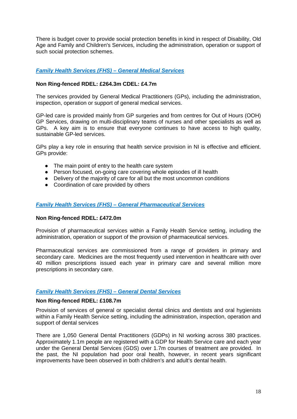There is budget cover to provide social protection benefits in kind in respect of Disability, Old Age and Family and Children's Services, including the administration, operation or support of such social protection schemes.

### *Family Health Services (FHS) – General Medical Services*

### **Non Ring-fenced RDEL: £264.3m CDEL: £4.7m**

The services provided by General Medical Practitioners (GPs), including the administration, inspection, operation or support of general medical services.

GP-led care is provided mainly from GP surgeries and from centres for Out of Hours (OOH) GP Services, drawing on multi-disciplinary teams of nurses and other specialists as well as GPs. A key aim is to ensure that everyone continues to have access to high quality, sustainable GP-led services.

GPs play a key role in ensuring that health service provision in NI is effective and efficient. GPs provide:

- The main point of entry to the health care system
- Person focused, on-going care covering whole episodes of ill health
- Delivery of the majority of care for all but the most uncommon conditions
- Coordination of care provided by others

### *Family Health Services (FHS) – General Pharmaceutical Services*

### **Non Ring-fenced RDEL: £472.0m**

Provision of pharmaceutical services within a Family Health Service setting, including the administration, operation or support of the provision of pharmaceutical services.

Pharmaceutical services are commissioned from a range of providers in primary and secondary care. Medicines are the most frequently used intervention in healthcare with over 40 million prescriptions issued each year in primary care and several million more prescriptions in secondary care.

### *Family Health Services (FHS) – General Dental Services*

### **Non Ring-fenced RDEL: £108.7m**

Provision of services of general or specialist dental clinics and dentists and oral hygienists within a Family Health Service setting, including the administration, inspection, operation and support of dental services

There are 1,050 General Dental Practitioners (GDPs) in NI working across 380 practices. Approximately 1.1m people are registered with a GDP for Health Service care and each year under the General Dental Services (GDS) over 1.7m courses of treatment are provided. In the past, the NI population had poor oral health, however, in recent years significant improvements have been observed in both children's and adult's dental health.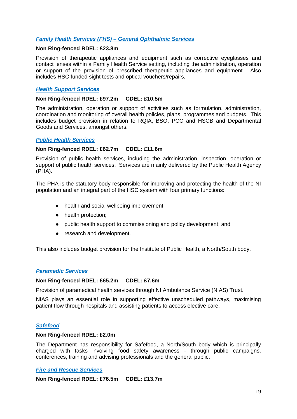### *Family Health Services (FHS) – General Ophthalmic Services*

### **Non Ring-fenced RDEL: £23.8m**

Provision of therapeutic appliances and equipment such as corrective eyeglasses and contact lenses within a Family Health Service setting, including the administration, operation or support of the provision of prescribed therapeutic appliances and equipment. Also includes HSC funded sight tests and optical vouchers/repairs.

### *Health Support Services*

### **Non Ring-fenced RDEL: £97.2m CDEL: £10.5m**

The administration, operation or support of activities such as formulation, administration, coordination and monitoring of overall health policies, plans, programmes and budgets. This includes budget provision in relation to RQIA, BSO, PCC and HSCB and Departmental Goods and Services, amongst others.

### *Public Health Services*

### **Non Ring-fenced RDEL: £62.7m CDEL: £11.6m**

Provision of public health services, including the administration, inspection, operation or support of public health services. Services are mainly delivered by the Public Health Agency (PHA).

The PHA is the statutory body responsible for improving and protecting the health of the NI population and an integral part of the HSC system with four primary functions:

- health and social wellbeing improvement;
- health protection;
- public health support to commissioning and policy development; and
- research and development.

This also includes budget provision for the Institute of Public Health, a North/South body.

### *Paramedic Services*

### **Non Ring-fenced RDEL: £65.2m CDEL: £7.6m**

Provision of paramedical health services through NI Ambulance Service (NIAS) Trust.

NIAS plays an essential role in supporting effective unscheduled pathways, maximising patient flow through hospitals and assisting patients to access elective care.

### *Safefood*

### **Non Ring-fenced RDEL: £2.0m**

The Department has responsibility for Safefood, a North/South body which is principally charged with tasks involving food safety awareness - through public campaigns, conferences, training and advising professionals and the general public.

### *Fire and Rescue Services*

**Non Ring-fenced RDEL: £76.5m CDEL: £13.7m**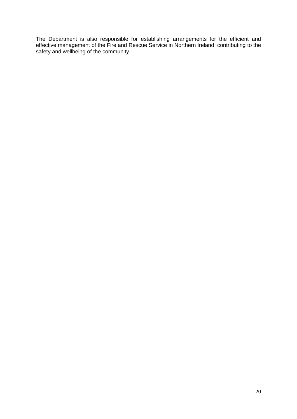The Department is also responsible for establishing arrangements for the efficient and effective management of the Fire and Rescue Service in Northern Ireland, contributing to the safety and wellbeing of the community.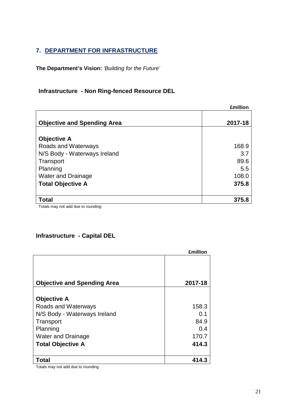# **7. DEPARTMENT FOR INFRASTRUCTURE**

**The Department's Vision:** *'Building for the Future'*

# **Infrastructure - Non Ring-fenced Resource DEL**

|                                    | <b>£million</b> |
|------------------------------------|-----------------|
| <b>Objective and Spending Area</b> | 2017-18         |
|                                    |                 |
| <b>Objective A</b>                 |                 |
| Roads and Waterways                | 168.9           |
| N/S Body - Waterways Ireland       | 3.7             |
| Transport                          | 89.6            |
| Planning                           | 5.5             |
| <b>Water and Drainage</b>          | 108.0           |
| <b>Total Objective A</b>           | 375.8           |
|                                    |                 |
| <b>Total</b>                       | 375.8           |
| Totalo mou not add duo to rounding |                 |

Totals may not add due to rounding

### **Infrastructure - Capital DEL**

|                                    | <b>£million</b> |
|------------------------------------|-----------------|
| <b>Objective and Spending Area</b> | 2017-18         |
|                                    |                 |
| <b>Objective A</b>                 |                 |
| Roads and Waterways                | 158.3           |
| N/S Body - Waterways Ireland       | 0.1             |
| Transport                          | 84.9            |
| Planning                           | 0.4             |
| <b>Water and Drainage</b>          | 170.7           |
| <b>Total Objective A</b>           | 414.3           |
| Гоtal                              | 414.3           |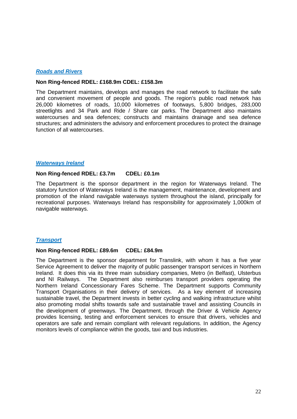### *Roads and Rivers*

### **Non Ring-fenced RDEL: £168.9m CDEL: £158.3m**

The Department maintains, develops and manages the road network to facilitate the safe and convenient movement of people and goods. The region's public road network has 26,000 kilometres of roads, 10,000 kilometres of footways, 5,800 bridges, 283,000 streetlights and 34 Park and Ride / Share car parks. The Department also maintains watercourses and sea defences; constructs and maintains drainage and sea defence structures; and administers the advisory and enforcement procedures to protect the drainage function of all watercourses.

### *Waterways Ireland*

#### **Non Ring-fenced RDEL: £3.7m CDEL: £0.1m**

The Department is the sponsor department in the region for Waterways Ireland. The statutory function of Waterways Ireland is the management, maintenance, development and promotion of the inland navigable waterways system throughout the island, principally for recreational purposes. Waterways Ireland has responsibility for approximately 1,000km of navigable waterways.

### *Transport*

#### **Non Ring-fenced RDEL: £89.6m CDEL: £84.9m**

The Department is the sponsor department for Translink, with whom it has a five year Service Agreement to deliver the majority of public passenger transport services in Northern Ireland. It does this via its three main subsidiary companies, Metro (in Belfast), Ulsterbus and NI Railways. The Department also reimburses transport providers operating the Northern Ireland Concessionary Fares Scheme. The Department supports Community Transport Organisations in their delivery of services. As a key element of increasing sustainable travel, the Department invests in better cycling and walking infrastructure whilst also promoting modal shifts towards safe and sustainable travel and assisting Councils in the development of greenways. The Department, through the Driver & Vehicle Agency provides licensing, testing and enforcement services to ensure that drivers, vehicles and operators are safe and remain compliant with relevant regulations. In addition, the Agency monitors levels of compliance within the goods, taxi and bus industries.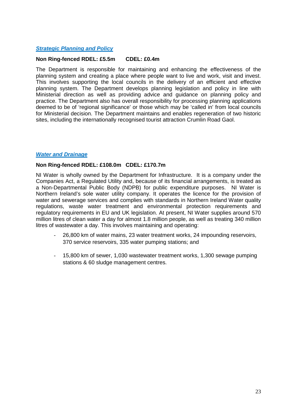### *Strategic Planning and Policy*

#### **Non Ring-fenced RDEL: £5.5m CDEL: £0.4m**

The Department is responsible for maintaining and enhancing the effectiveness of the planning system and creating a place where people want to live and work, visit and invest. This involves supporting the local councils in the delivery of an efficient and effective planning system. The Department develops planning legislation and policy in line with Ministerial direction as well as providing advice and guidance on planning policy and practice. The Department also has overall responsibility for processing planning applications deemed to be of 'regional significance' or those which may be 'called in' from local councils for Ministerial decision. The Department maintains and enables regeneration of two historic sites, including the internationally recognised tourist attraction Crumlin Road Gaol.

### *Water and Drainage*

### **Non Ring-fenced RDEL: £108.0m CDEL: £170.7m**

NI Water is wholly owned by the Department for Infrastructure. It is a company under the Companies Act, a Regulated Utility and, because of its financial arrangements, is treated as a Non-Departmental Public Body (NDPB) for public expenditure purposes. NI Water is Northern Ireland's sole water utility company. It operates the licence for the provision of water and sewerage services and complies with standards in Northern Ireland Water quality regulations, waste water treatment and environmental protection requirements and regulatory requirements in EU and UK legislation. At present, NI Water supplies around 570 million litres of clean water a day for almost 1.8 million people, as well as treating 340 million litres of wastewater a day. This involves maintaining and operating:

- 26,800 km of water mains, 23 water treatment works, 24 impounding reservoirs, 370 service reservoirs, 335 water pumping stations; and
- 15,800 km of sewer, 1,030 wastewater treatment works, 1,300 sewage pumping stations & 60 sludge management centres.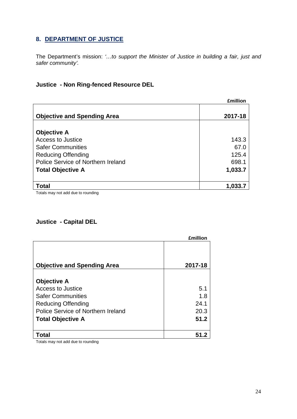# **8. DEPARTMENT OF JUSTICE**

The Department's mission: *'…to support the Minister of Justice in building a fair, just and safer community'.*

### **Justice - Non Ring-fenced Resource DEL**

|                                    | <b>£million</b> |
|------------------------------------|-----------------|
|                                    | 2017-18         |
| <b>Objective and Spending Area</b> |                 |
| <b>Objective A</b>                 |                 |
| Access to Justice                  | 143.3           |
| <b>Safer Communities</b>           | 67.0            |
| <b>Reducing Offending</b>          | 125.4           |
| Police Service of Northern Ireland | 698.1           |
| <b>Total Objective A</b>           | 1,033.7         |
|                                    |                 |
| <b>Total</b>                       | 1,033.7         |

Totals may not add due to rounding

# **Justice - Capital DEL**

|                                         | <b>£million</b> |
|-----------------------------------------|-----------------|
| <b>Objective and Spending Area</b>      | 2017-18         |
| <b>Objective A</b><br>Access to Justice | 5.1             |
| <b>Safer Communities</b>                | 1.8             |
| <b>Reducing Offending</b>               | 24.1            |
| Police Service of Northern Ireland      | 20.3            |
| <b>Total Objective A</b>                | 51.2            |
| <sup>'</sup> otal                       |                 |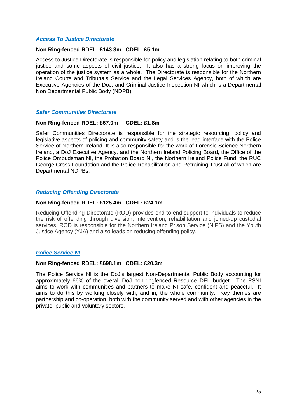### *Access To Justice Directorate*

### **Non Ring-fenced RDEL: £143.3m CDEL: £5.1m**

Access to Justice Directorate is responsible for policy and legislation relating to both criminal justice and some aspects of civil justice. It also has a strong focus on improving the operation of the justice system as a whole. The Directorate is responsible for the Northern Ireland Courts and Tribunals Service and the Legal Services Agency, both of which are Executive Agencies of the DoJ, and Criminal Justice Inspection NI which is a Departmental Non Departmental Public Body (NDPB).

### *Safer Communities Directorate*

### **Non Ring-fenced RDEL: £67.0m CDEL: £1.8m**

Safer Communities Directorate is responsible for the strategic resourcing, policy and legislative aspects of policing and community safety and is the lead interface with the Police Service of Northern Ireland. It is also responsible for the work of Forensic Science Northern Ireland, a DoJ Executive Agency, and the Northern Ireland Policing Board, the Office of the Police Ombudsman NI, the Probation Board NI, the Northern Ireland Police Fund, the RUC George Cross Foundation and the Police Rehabilitation and Retraining Trust all of which are Departmental NDPBs.

### *Reducing Offending Directorate*

### **Non Ring-fenced RDEL: £125.4m CDEL: £24.1m**

Reducing Offending Directorate (ROD) provides end to end support to individuals to reduce the risk of offending through diversion, intervention, rehabilitation and joined-up custodial services. ROD is responsible for the Northern Ireland Prison Service (NIPS) and the Youth Justice Agency (YJA) and also leads on reducing offending policy.

### *Police Service NI*

### **Non Ring-fenced RDEL: £698.1m CDEL: £20.3m**

The Police Service NI is the DoJ's largest Non-Departmental Public Body accounting for approximately 66% of the overall DoJ non-ringfenced Resource DEL budget. The PSNI aims to work with communities and partners to make NI safe, confident and peaceful. It aims to do this by working closely with, and in, the whole community. Key themes are partnership and co-operation, both with the community served and with other agencies in the private, public and voluntary sectors.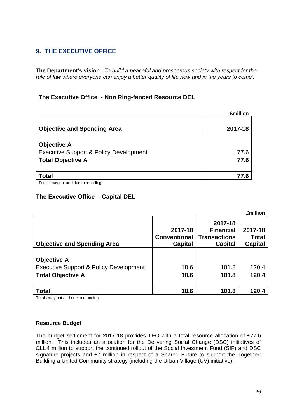# **9. THE EXECUTIVE OFFICE**

**The Department's vision:** *'To build a peaceful and prosperous society with respect for the rule of law where everyone can enjoy a better quality of life now and in the years to come'.*

### **The Executive Office - Non Ring-fenced Resource DEL**

| <b>£million</b>                                                                                     |              |
|-----------------------------------------------------------------------------------------------------|--------------|
| <b>Objective and Spending Area</b>                                                                  | 2017-18      |
| <b>Objective A</b><br><b>Executive Support &amp; Policy Development</b><br><b>Total Objective A</b> | 77.6<br>77.6 |
| <b>Total</b>                                                                                        | 77.6         |
|                                                                                                     |              |

Totals may not add due to rounding

### **The Executive Office - Capital DEL**

|                                                   |                                                  |                                                               | <b>£million</b>                           |
|---------------------------------------------------|--------------------------------------------------|---------------------------------------------------------------|-------------------------------------------|
| <b>Objective and Spending Area</b>                | 2017-18<br><b>Conventional</b><br><b>Capital</b> | 2017-18<br><b>Financial</b><br><b>Transactions</b><br>Capital | 2017-18<br><b>Total</b><br><b>Capital</b> |
|                                                   |                                                  |                                                               |                                           |
| <b>Objective A</b>                                |                                                  |                                                               |                                           |
| <b>Executive Support &amp; Policy Development</b> | 18.6                                             | 101.8                                                         | 120.4                                     |
| <b>Total Objective A</b>                          | 18.6                                             | 101.8                                                         | 120.4                                     |
|                                                   |                                                  |                                                               |                                           |
| <b>Total</b>                                      | 18.6                                             | 101.8                                                         | 120.4                                     |

Totals may not add due to rounding

### **Resource Budget**

The budget settlement for 2017-18 provides TEO with a total resource allocation of £77.6 million. This includes an allocation for the Delivering Social Change (DSC) initiatives of £11.4 million to support the continued rollout of the Social Investment Fund (SIF) and DSC signature projects and £7 million in respect of a Shared Future to support the Together: Building a United Community strategy (including the Urban Village (UV) initiative).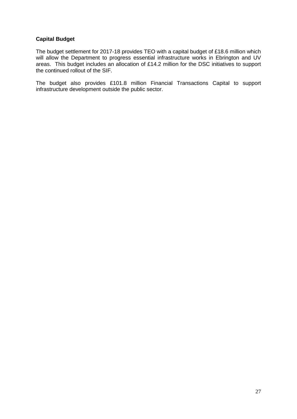### **Capital Budget**

The budget settlement for 2017-18 provides TEO with a capital budget of £18.6 million which will allow the Department to progress essential infrastructure works in Ebrington and UV areas. This budget includes an allocation of £14.2 million for the DSC initiatives to support the continued rollout of the SIF.

The budget also provides £101.8 million Financial Transactions Capital to support infrastructure development outside the public sector.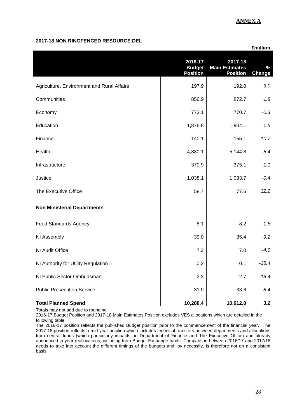### **ANNEX A**

### **2017-18 NON RINGFENCED RESOURCE DEL**

|                                            |                                             |                                                     | <b>£million</b>       |
|--------------------------------------------|---------------------------------------------|-----------------------------------------------------|-----------------------|
|                                            | 2016-17<br><b>Budget</b><br><b>Position</b> | 2017-18<br><b>Main Estimates</b><br><b>Position</b> | $\%$<br><b>Change</b> |
| Agriculture, Environment and Rural Affairs | 197.9                                       | 192.0                                               | $-3.0$                |
| Communities                                | 856.9                                       | 872.7                                               | 1.8                   |
| Economy                                    | 773.1                                       | 770.7                                               | $-0.3$                |
| Education                                  | 1,876.8                                     | 1,904.1                                             | 1.5                   |
| Finance                                    | 140.1                                       | 155.1                                               | 10.7                  |
| Health                                     | 4,880.1                                     | 5,144.8                                             | 5.4                   |
| Infrastructure                             | 370.9                                       | 375.1                                               | 1.1                   |
| Justice                                    | 1,038.1                                     | 1,033.7                                             | $-0.4$                |
| The Executive Office                       | 58.7                                        | 77.6                                                | 32.2                  |
| <b>Non Ministerial Departments</b>         |                                             |                                                     |                       |
| <b>Food Standards Agency</b>               | 8.1                                         | 8.2                                                 | 1.5                   |
| NI Assembly                                | 39.0                                        | 35.4                                                | $-9.2$                |
| NI Audit Office                            | 7.3                                         | 7.0                                                 | $-4.0$                |
| NI Authority for Utility Regulation        | 0.2                                         | 0.1                                                 | $-35.4$               |
| NI Public Sector Ombudsman                 | 2.3                                         | 2.7                                                 | 15.4                  |
| <b>Public Prosecution Service</b>          | 31.0                                        | 33.6                                                | 8.4                   |
| <b>Total Planned Spend</b>                 | 10,280.4                                    | 10,612.8                                            | 3.2                   |

Totals may not add due to rounding

2016-17 Budget Position and 2017-18 Main Estimates Position excludes VES allocations which are detailed in the following table.

The 2016-17 position reflects the published Budget position prior to the commencement of the financial year. The 2017-18 position reflects a mid-year position which includes technical transfers between departments and allocations from central funds (which particularly impacts on Department of Finance and The Executive Office) and already announced in year reallocations, including from Budget Exchange funds. Comparison between 2016/17 and 2017/18 needs to take into account the different timings of the budgets and, by necessity, is therefore not on a consistent basis.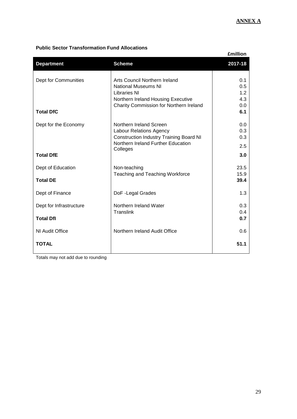### **Public Sector Transformation Fund Allocations**

|                         | <b>£million</b>                                |         |
|-------------------------|------------------------------------------------|---------|
| <b>Department</b>       | <b>Scheme</b>                                  | 2017-18 |
| Dept for Communities    | Arts Council Northern Ireland                  | 0.1     |
|                         | <b>National Museums NI</b>                     | 0.5     |
|                         | <b>Libraries NI</b>                            | 1.2     |
|                         | Northern Ireland Housing Executive             | 4.3     |
|                         | Charity Commission for Northern Ireland        | 0.0     |
| <b>Total DfC</b>        |                                                | 6.1     |
| Dept for the Economy    | Northern Ireland Screen                        | 0.0     |
|                         | Labour Relations Agency                        | 0.3     |
|                         | <b>Construction Industry Training Board NI</b> | 0.3     |
|                         | Northern Ireland Further Education<br>Colleges | 2.5     |
| <b>Total DfE</b>        |                                                | 3.0     |
| Dept of Education       | Non-teaching                                   | 23.5    |
|                         | Teaching and Teaching Workforce                | 15.9    |
| <b>Total DE</b>         |                                                | 39.4    |
| Dept of Finance         | DoF - Legal Grades                             | 1.3     |
| Dept for Infrastructure | Northern Ireland Water                         | 0.3     |
|                         | Translink                                      | 0.4     |
| <b>Total Dfl</b>        |                                                | 0.7     |
| NI Audit Office         | Northern Ireland Audit Office                  | 0.6     |
| <b>TOTAL</b>            |                                                | 51.1    |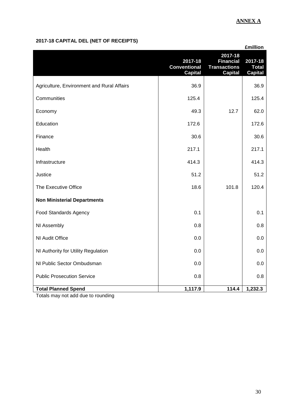# **ANNEX A**

## **2017-18 CAPITAL DEL (NET OF RECEIPTS)**

|                                            |                                                  |                                                                      | <b>£million</b>                           |
|--------------------------------------------|--------------------------------------------------|----------------------------------------------------------------------|-------------------------------------------|
|                                            | 2017-18<br><b>Conventional</b><br><b>Capital</b> | 2017-18<br><b>Financial</b><br><b>Transactions</b><br><b>Capital</b> | 2017-18<br><b>Total</b><br><b>Capital</b> |
| Agriculture, Environment and Rural Affairs | 36.9                                             |                                                                      | 36.9                                      |
| Communities                                | 125.4                                            |                                                                      | 125.4                                     |
| Economy                                    | 49.3                                             | 12.7                                                                 | 62.0                                      |
| Education                                  | 172.6                                            |                                                                      | 172.6                                     |
| Finance                                    | 30.6                                             |                                                                      | 30.6                                      |
| Health                                     | 217.1                                            |                                                                      | 217.1                                     |
| Infrastructure                             | 414.3                                            |                                                                      | 414.3                                     |
| Justice                                    | 51.2                                             |                                                                      | 51.2                                      |
| The Executive Office                       | 18.6                                             | 101.8                                                                | 120.4                                     |
| <b>Non Ministerial Departments</b>         |                                                  |                                                                      |                                           |
| <b>Food Standards Agency</b>               | 0.1                                              |                                                                      | 0.1                                       |
| NI Assembly                                | 0.8                                              |                                                                      | 0.8                                       |
| NI Audit Office                            | 0.0                                              |                                                                      | 0.0                                       |
| NI Authority for Utility Regulation        | 0.0                                              |                                                                      | 0.0                                       |
| NI Public Sector Ombudsman                 | 0.0                                              |                                                                      | 0.0                                       |
| <b>Public Prosecution Service</b>          | 0.8                                              |                                                                      | 0.8                                       |
| <b>Total Planned Spend</b>                 | 1,117.9                                          | 114.4                                                                | 1,232.3                                   |